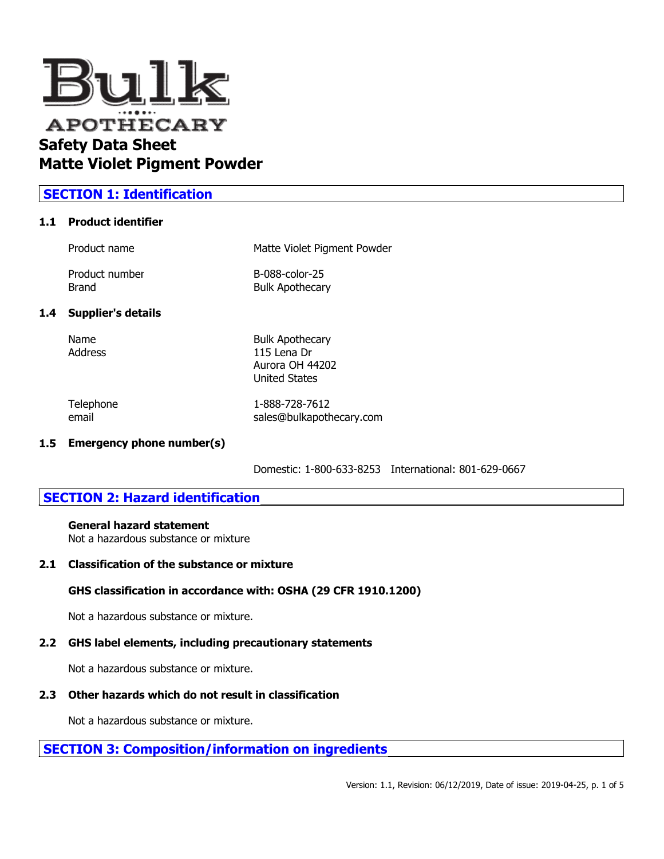

# **SECTION 1: Identification**

## **1.1 Product identifier**

| Product name   | Matte Violet Pigment Powder |  |
|----------------|-----------------------------|--|
| Product number | B-088-color-25              |  |
| Brand          | <b>Bulk Apothecary</b>      |  |

## **1.4 Supplier's details**

Name Bulk Apothecary Address 115 Lena Dr Aurora OH 44202 United States

Telephone 1-888-728-7612 email sales@bulkapothecary.com

#### **1.5 Emergency phone number(s)**

Domestic: 1-800-633-8253 International: 801-629-0667

# **SECTION 2: Hazard identification**

#### **General hazard statement**

Not a hazardous substance or mixture

#### **2.1 Classification of the substance or mixture**

## **GHS classification in accordance with: OSHA (29 CFR 1910.1200)**

Not a hazardous substance or mixture.

# **2.2 GHS label elements, including precautionary statements**

Not a hazardous substance or mixture.

# **2.3 Other hazards which do not result in classification**

Not a hazardous substance or mixture.

# **SECTION 3: Composition/information on ingredients**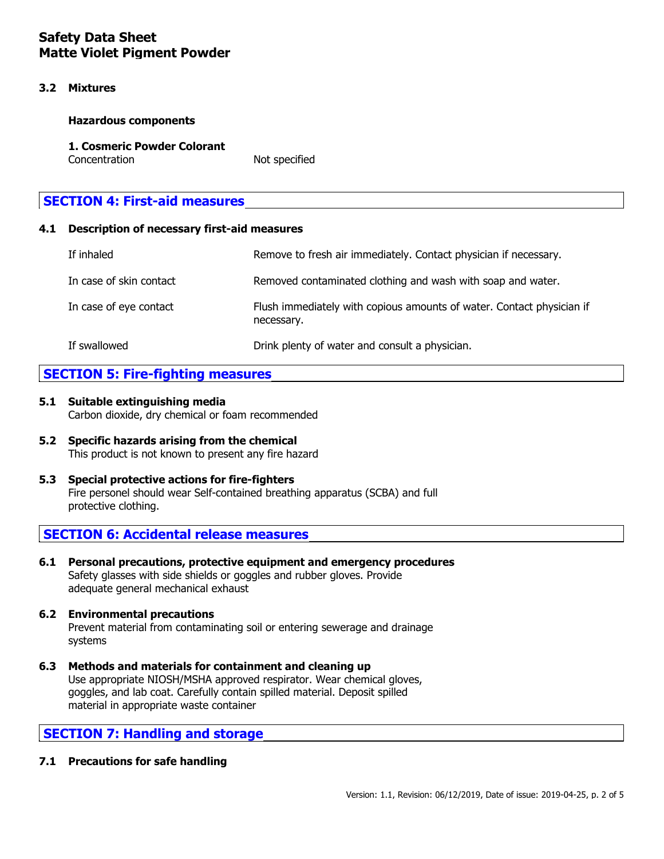## **3.2 Mixtures**

#### **Hazardous components**

#### **1. Cosmeric Powder Colorant** Concentration Not specified

# **SECTION 4: First-aid measures**

## **4.1 Description of necessary first-aid measures**

| If inhaled              | Remove to fresh air immediately. Contact physician if necessary.                    |
|-------------------------|-------------------------------------------------------------------------------------|
| In case of skin contact | Removed contaminated clothing and wash with soap and water.                         |
| In case of eye contact  | Flush immediately with copious amounts of water. Contact physician if<br>necessary. |
| If swallowed            | Drink plenty of water and consult a physician.                                      |

# **SECTION 5: Fire-fighting measures**

# **5.1 Suitable extinguishing media** Carbon dioxide, dry chemical or foam recommended

- **5.2 Specific hazards arising from the chemical** This product is not known to present any fire hazard
- **5.3 Special protective actions for fire-fighters** Fire personel should wear Self-contained breathing apparatus (SCBA) and full protective clothing.

# **SECTION 6: Accidental release measures**

**6.1 Personal precautions, protective equipment and emergency procedures** Safety glasses with side shields or goggles and rubber gloves. Provide adequate general mechanical exhaust

# **6.2 Environmental precautions** Prevent material from contaminating soil or entering sewerage and drainage systems

**6.3 Methods and materials for containment and cleaning up** Use appropriate NIOSH/MSHA approved respirator. Wear chemical gloves, goggles, and lab coat. Carefully contain spilled material. Deposit spilled material in appropriate waste container

# **SECTION 7: Handling and storage**

## **7.1 Precautions for safe handling**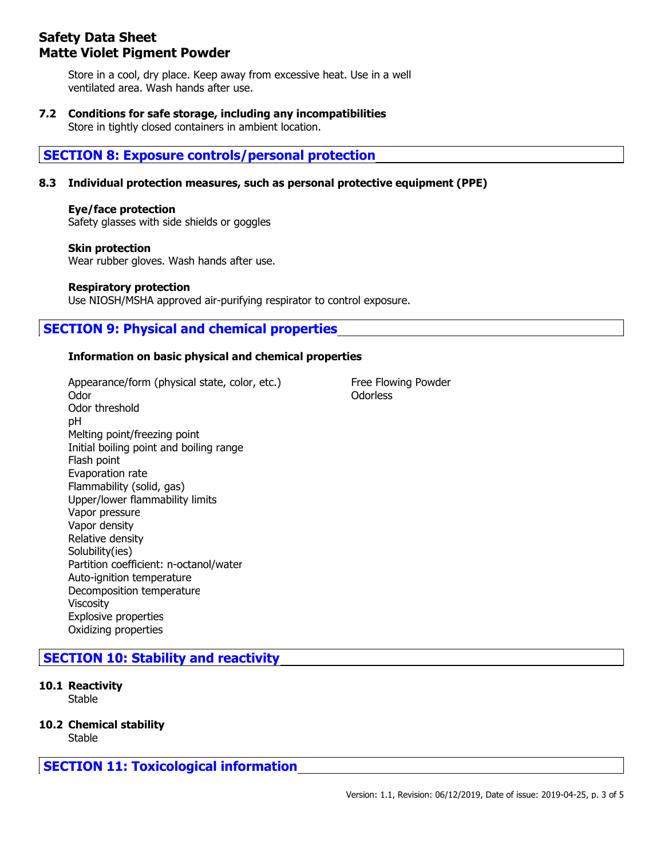Store in a cool, dry place. Keep away from excessive heat. Use in a well ventilated area. Wash hands after use.

# **7.2 Conditions for safe storage, including any incompatibilities**

Store in tightly closed containers in ambient location.

# **SECTION 8: Exposure controls/personal protection**

## **8.3 Individual protection measures, such as personal protective equipment (PPE)**

#### **Eye/face protection**

Safety glasses with side shields or goggles

#### **Skin protection**

Wear rubber gloves. Wash hands after use.

#### **Respiratory protection**

Use NIOSH/MSHA approved air-purifying respirator to control exposure.

# **SECTION 9: Physical and chemical properties**

## **Information on basic physical and chemical properties**

Appearance/form (physical state, color, etc.) Free Flowing Powder Odor **Odor** Odorless Odor threshold pH Melting point/freezing point Initial boiling point and boiling range Flash point Evaporation rate Flammability (solid, gas) Upper/lower flammability limits Vapor pressure Vapor density Relative density Solubility(ies) Partition coefficient: n-octanol/water Auto-ignition temperature Decomposition temperature Viscosity Explosive properties Oxidizing properties

# **SECTION 10: Stability and reactivity**

**10.1 Reactivity**

Stable

## **10.2 Chemical stability**

Stable

**SECTION 11: Toxicological information**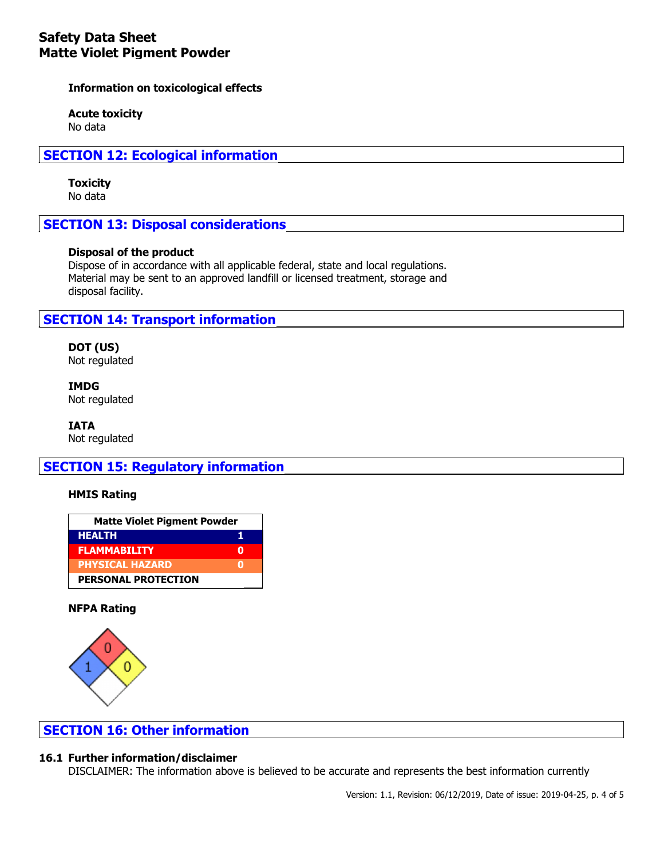**Information on toxicological effects**

**Acute toxicity** No data

**SECTION 12: Ecological information**

# **Toxicity**

No data

**SECTION 13: Disposal considerations**

## **Disposal of the product**

Dispose of in accordance with all applicable federal, state and local regulations. Material may be sent to an approved landfill or licensed treatment, storage and disposal facility.

# **SECTION 14: Transport information**

**DOT (US)** Not regulated

**IMDG** Not regulated

**IATA** Not regulated

# **SECTION 15: Regulatory information**

## **HMIS Rating**

| <b>Matte Violet Pigment Powder</b> |  |  |
|------------------------------------|--|--|
| <b>HEALTH</b>                      |  |  |
| <b>FLAMMABILITY</b>                |  |  |
| PHYSICAL HAZARD                    |  |  |
| <b>PERSONAL PROTECTION</b>         |  |  |

## **NFPA Rating**



# **SECTION 16: Other information**

## **16.1 Further information/disclaimer**

DISCLAIMER: The information above is believed to be accurate and represents the best information currently